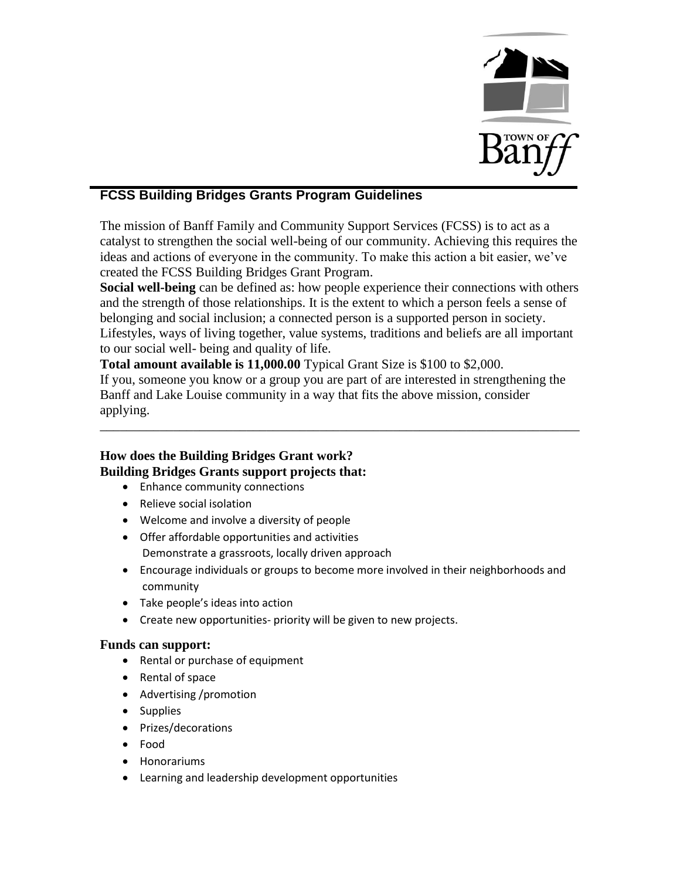

# **FCSS Building Bridges Grants Program Guidelines**

The mission of Banff Family and Community Support Services (FCSS) is to act as a catalyst to strengthen the social well-being of our community. Achieving this requires the ideas and actions of everyone in the community. To make this action a bit easier, we've created the FCSS Building Bridges Grant Program.

**Social well-being** can be defined as: how people experience their connections with others and the strength of those relationships. It is the extent to which a person feels a sense of belonging and social inclusion; a connected person is a supported person in society. Lifestyles, ways of living together, value systems, traditions and beliefs are all important to our social well- being and quality of life.

**Total amount available is 11,000.00** Typical Grant Size is \$100 to \$2,000. If you, someone you know or a group you are part of are interested in strengthening the Banff and Lake Louise community in a way that fits the above mission, consider applying.

\_\_\_\_\_\_\_\_\_\_\_\_\_\_\_\_\_\_\_\_\_\_\_\_\_\_\_\_\_\_\_\_\_\_\_\_\_\_\_\_\_\_\_\_\_\_\_\_\_\_\_\_\_\_\_\_\_\_\_\_\_\_\_\_\_\_\_\_\_\_\_\_

## **How does the Building Bridges Grant work? Building Bridges Grants support projects that:**

- Enhance community connections
- Relieve social isolation
- Welcome and involve a diversity of people
- Offer affordable opportunities and activities Demonstrate a grassroots, locally driven approach
- Encourage individuals or groups to become more involved in their neighborhoods and community
- Take people's ideas into action
- Create new opportunities- priority will be given to new projects.

#### **Funds can support:**

- Rental or purchase of equipment
- Rental of space
- Advertising /promotion
- Supplies
- Prizes/decorations
- Food
- Honorariums
- Learning and leadership development opportunities